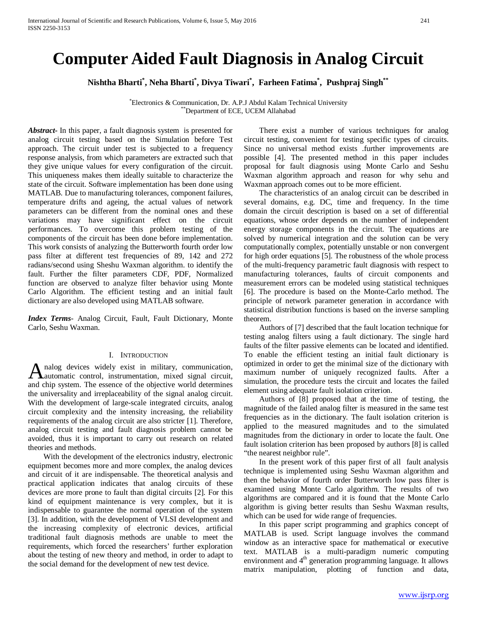# **Computer Aided Fault Diagnosis in Analog Circuit**

**Nishtha Bharti\* , Neha Bharti\* , Divya Tiwari\* , Farheen Fatima\* , Pushpraj Singh\*\***

\* Electronics & Communication, Dr. A.P.J Abdul Kalam Technical University \*\*Department of ECE, UCEM Allahabad

*Abstract***-** In this paper, a fault diagnosis system is presented for analog circuit testing based on the Simulation before Test approach. The circuit under test is subjected to a frequency response analysis, from which parameters are extracted such that they give unique values for every configuration of the circuit. This uniqueness makes them ideally suitable to characterize the state of the circuit. Software implementation has been done using MATLAB. Due to manufacturing tolerances, component failures, temperature drifts and ageing, the actual values of network parameters can be different from the nominal ones and these variations may have significant effect on the circuit performances. To overcome this problem testing of the components of the circuit has been done before implementation. This work consists of analyzing the Butterworth fourth order low pass filter at different test frequencies of 89, 142 and 272 radians/second using Sheshu Waxman algorithm. to identify the fault. Further the filter parameters CDF, PDF, Normalized function are observed to analyze filter behavior using Monte Carlo Algorithm. The efficient testing and an initial fault dictionary are also developed using MATLAB software.

*Index Terms*- Analog Circuit, Fault, Fault Dictionary, Monte Carlo, Seshu Waxman.

# I. INTRODUCTION

nalog devices widely exist in military, communication, A nalog devices widely exist in military, communication, automatic control, instrumentation, mixed signal circuit, and chip system. The essence of the objective world determines the universality and irreplaceability of the signal analog circuit. With the development of large-scale integrated circuits, analog circuit complexity and the intensity increasing, the reliability requirements of the analog circuit are also stricter [1]. Therefore, analog circuit testing and fault diagnosis problem cannot be avoided, thus it is important to carry out research on related theories and methods.

 With the development of the electronics industry, electronic equipment becomes more and more complex, the analog devices and circuit of it are indispensable. The theoretical analysis and practical application indicates that analog circuits of these devices are more prone to fault than digital circuits [2]. For this kind of equipment maintenance is very complex, but it is indispensable to guarantee the normal operation of the system [3]. In addition, with the development of VLSI development and the increasing complexity of electronic devices, artificial traditional fault diagnosis methods are unable to meet the requirements, which forced the researchers' further exploration about the testing of new theory and method, in order to adapt to the social demand for the development of new test device.

 There exist a number of various techniques for analog circuit testing, convenient for testing specific types of circuits. Since no universal method exists .further improvements are possible [4]. The presented method in this paper includes proposal for fault diagnosis using Monte Carlo and Seshu Waxman algorithm approach and reason for why sehu and Waxman approach comes out to be more efficient.

 The characteristics of an analog circuit can be described in several domains, e.g. DC, time and frequency. In the time domain the circuit description is based on a set of differential equations, whose order depends on the number of independent energy storage components in the circuit. The equations are solved by numerical integration and the solution can be very computationally complex, potentially unstable or non convergent for high order equations [5]. The robustness of the whole process of the multi-frequency parametric fault diagnosis with respect to manufacturing tolerances, faults of circuit components and measurement errors can be modeled using statistical techniques [6]. The procedure is based on the Monte-Carlo method. The principle of network parameter generation in accordance with statistical distribution functions is based on the inverse sampling theorem.

 Authors of [7] described that the fault location technique for testing analog filters using a fault dictionary. The single hard faults of the filter passive elements can be located and identified. To enable the efficient testing an initial fault dictionary is optimized in order to get the minimal size of the dictionary with maximum number of uniquely recognized faults. After a simulation, the procedure tests the circuit and locates the failed element using adequate fault isolation criterion.

 Authors of [8] proposed that at the time of testing, the magnitude of the failed analog filter is measured in the same test frequencies as in the dictionary. The fault isolation criterion is applied to the measured magnitudes and to the simulated magnitudes from the dictionary in order to locate the fault. One fault isolation criterion has been proposed by authors [8] is called "the nearest neighbor rule".

 In the present work of this paper first of all fault analysis technique is implemented using Seshu Waxman algorithm and then the behavior of fourth order Butterworth low pass filter is examined using Monte Carlo algorithm. The results of two algorithms are compared and it is found that the Monte Carlo algorithm is giving better results than Seshu Waxman results, which can be used for wide range of frequencies.

 In this paper script programming and graphics concept of MATLAB is used. Script language involves the command window as an interactive space for mathematical or executive text. MATLAB is a multi-paradigm numeric computing environment and 4<sup>th</sup> generation programming language. It allows matrix manipulation, plotting of function and data,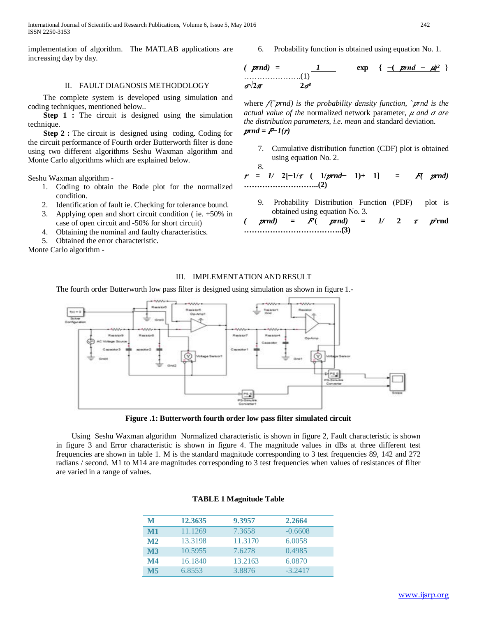International Journal of Scientific and Research Publications, Volume 6, Issue 5, May 2016 242 ISSN 2250-3153

implementation of algorithm. The MATLAB applications are increasing day by day.

#### II. FAULT DIAGNOSIS METHODOLOGY

 The complete system is developed using simulation and coding techniques, mentioned below..

**Step 1 :** The circuit is designed using the simulation technique.

**Step 2 :** The circuit is designed using coding. Coding for the circuit performance of Fourth order Butterworth filter is done using two different algorithms Seshu Waxman algorithm and Monte Carlo algorithms which are explained below.

Seshu Waxman algorithm -

- 1. Coding to obtain the Bode plot for the normalized condition.
- 2. Identification of fault ie. Checking for tolerance bound.
- 3. Applying open and short circuit condition ( ie. +50% in case of open circuit and -50% for short circuit)
- 4. Obtaining the nominal and faulty characteristics.
- 5. Obtained the error characteristic.

Monte Carlo algorithm -

### 6. Probability function is obtained using equation No. 1.

$$
\begin{array}{lll}\n & prnd &= & 1 & \text{exp} & \{-\frac{(prnd - \mu)^2}{2}\} \\
\hline\n\sigma \sqrt{2\pi} & & 2\sigma^2\n\end{array}
$$

where  $f(\gamma)$ *rnd*) is the probability density function,  $\gamma$ *rnd* is the *actual value of the normalized network parameter,*  $\mu$  *and*  $\sigma$  *are the distribution parameters, i.e. mean* and standard deviation.  $prnd = F-1(r)$ 

7. Cumulative distribution function (CDF) plot is obtained using equation No. 2.

8.  $r = 1/2[-1/\tau (1/prnd-1)+1] = F(prnd)$ **………………………..(2)**

9. Probability Distribution Function (PDF) plot is obtained using equation No. 3.

$$
(prnd) = F( prnd) = 1/2 \tau p2rnd
$$
  
.................(3)

## III. IMPLEMENTATION AND RESULT

The fourth order Butterworth low pass filter is designed using simulation as shown in figure 1.-



**Figure .1: Butterworth fourth order low pass filter simulated circuit**

 Using Seshu Waxman algorithm Normalized characteristic is shown in figure 2, Fault characteristic is shown in figure 3 and Error characteristic is shown in figure 4. The magnitude values in dBs at three different test frequencies are shown in table 1. M is the standard magnitude corresponding to 3 test frequencies 89, 142 and 272 radians / second. M1 to M14 are magnitudes corresponding to 3 test frequencies when values of resistances of filter are varied in a range of values.

| M              | 12.3635 | 9.3957  | 2.2664    |
|----------------|---------|---------|-----------|
| $\bf M1$       | 11.1269 | 7.3658  | $-0.6608$ |
| M <sub>2</sub> | 13.3198 | 11.3170 | 6.0058    |
| $\mathbf{M}3$  | 10.5955 | 7.6278  | 0.4985    |
| $\mathbf{M}4$  | 16.1840 | 13.2163 | 6.0870    |
| $\bf M5$       | 6.8553  | 3.8876  | $-3.2417$ |

#### **TABLE 1 Magnitude Table**

```
www.ijsrp.org
```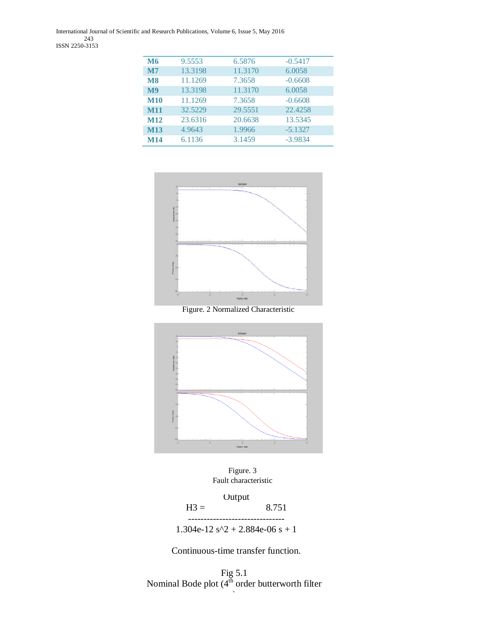International Journal of Scientific and Research Publications, Volume 6, Issue 5, May 2016 243 ISSN 2250-3153

| <b>M6</b>     | 9.5553  | 6.5876  | $-0.5417$ |
|---------------|---------|---------|-----------|
| $\mathbf{M}$  | 13.3198 | 11.3170 | 6.0058    |
| <b>M8</b>     | 11.1269 | 7.3658  | $-0.6608$ |
| $\mathbf{M9}$ | 13.3198 | 11.3170 | 6.0058    |
| <b>M10</b>    | 11.1269 | 7.3658  | $-0.6608$ |
| <b>M11</b>    | 32.5229 | 29.5551 | 22.4258   |
| M12           | 23.6316 | 20.6638 | 13.5345   |
| <b>M13</b>    | 4.9643  | 1.9966  | $-5.1327$ |
| <b>M14</b>    | 6.1136  | 3.1459  | $-3.9834$ |



Figure. 2 Normalized Characteristic



Figure. 3 Fault characteristic

Output  $H3 =$  8.751 -------------------------------

1.304e-12  $s^2 + 2.884e-06 s + 1$ 

Continuous-time transfer function.

Fig 5.1 Nominal Bode plot  $(4^{th}$  order butterworth filter

)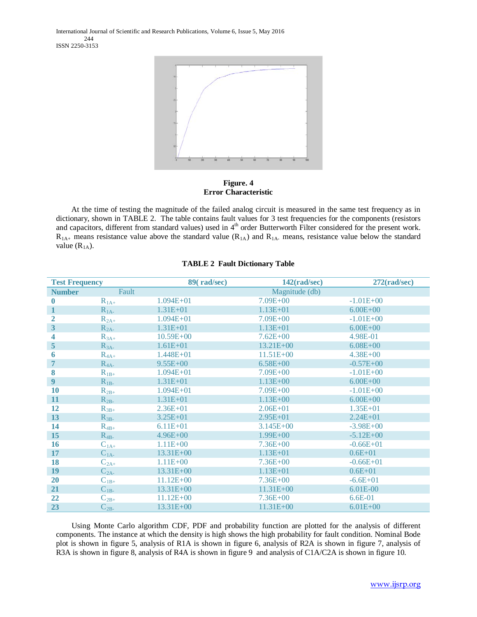International Journal of Scientific and Research Publications, Volume 6, Issue 5, May 2016 244 ISSN 2250-3153



**Figure. 4 Error Characteristic**

 At the time of testing the magnitude of the failed analog circuit is measured in the same test frequency as in dictionary, shown in TABLE 2. The table contains fault values for 3 test frequencies for the components (resistors and capacitors, different from standard values) used in 4<sup>th</sup> order Butterworth Filter considered for the present work.  $R_{1A_+}$  means resistance value above the standard value ( $R_{1A}$ ) and  $R_{1A_-}$  means, resistance value below the standard value  $(R<sub>1A</sub>)$ .

## **TABLE 2 Fault Dictionary Table**

| <b>Test Frequency</b> |           | 89(rad/sec)   | $142$ (rad/sec) | $272$ (rad/sec) |
|-----------------------|-----------|---------------|-----------------|-----------------|
| <b>Number</b>         | Fault     |               | Magnitude (db)  |                 |
| $\bf{0}$              | $R_{1A+}$ | $1.094E + 01$ | $7.09E + 00$    | $-1.01E+00$     |
| 1                     | $R_{1A}$  | $1.31E + 01$  | $1.13E + 01$    | $6.00E + 00$    |
| 2                     | $R_{2A+}$ | $1.094E + 01$ | $7.09E + 00$    | $-1.01E + 00$   |
| 3                     | $R_{2A}$  | $1.31E + 01$  | $1.13E + 01$    | $6.00E + 00$    |
| 4                     | $R_{3A+}$ | $10.59E + 00$ | $7.62E + 00$    | 4.98E-01        |
| 5                     | $R_{3A}$  | $1.61E + 01$  | 13.21E+00       | $6.08E + 00$    |
| 6                     | $R_{4A+}$ | 1.448E+01     | $11.51E + 00$   | $4.38E + 00$    |
| $\overline{7}$        | $R_{4A}$  | $9.55E + 00$  | $6.58E + 00$    | $-0.57E + 00$   |
| 8                     | $R_{1B+}$ | $1.094E + 01$ | $7.09E + 00$    | $-1.01E+00$     |
| 9                     | $R_{1B-}$ | $1.31E + 01$  | $1.13E + 00$    | $6.00E + 00$    |
| 10                    | $R_{2B+}$ | $1.094E + 01$ | $7.09E + 00$    | $-1.01E+00$     |
| 11                    | $R_{2B}$  | $1.31E + 01$  | $1.13E + 00$    | $6.00E + 00$    |
| 12                    | $R_{3B+}$ | $2.36E + 01$  | $2.06E + 01$    | $1.35E + 01$    |
| 13                    | $R_{3B}$  | $3.25E + 01$  | $2.95E + 01$    | $2.24E + 01$    |
| 14                    | $R_{4B+}$ | $6.11E + 01$  | $3.145E + 00$   | $-3.98E + 00$   |
| 15                    | $R_{4B}$  | $4.96E + 00$  | $1.99E + 00$    | $-5.12E + 00$   |
| 16                    | $C_{1A+}$ | $1.11E + 00$  | $7.36E + 00$    | $-0.66E + 01$   |
| 17                    | $C_{1A}$  | 13.31E+00     | $1.13E + 01$    | $0.6E + 01$     |
| 18                    | $C_{2A+}$ | $1.11E + 00$  | $7.36E + 00$    | $-0.66E + 01$   |
| 19                    | $C_{2A}$  | 13.31E+00     | $1.13E + 01$    | $0.6E + 01$     |
| 20                    | $C_{1B+}$ | $11.12E + 00$ | $7.36E + 00$    | $-6.6E + 01$    |
| 21                    | $C_{1B}$  | 13.31E+00     | $11.31E + 00$   | 6.01E-00        |
| 22                    | $C_{2B+}$ | $11.12E + 00$ | $7.36E + 00$    | 6.6E-01         |
| 23                    | $C_{2B}$  | 13.31E+00     | $11.31E + 00$   | $6.01E + 00$    |

 Using Monte Carlo algorithm CDF, PDF and probability function are plotted for the analysis of different components. The instance at which the density is high shows the high probability for fault condition. Nominal Bode plot is shown in figure 5, analysis of R1A is shown in figure 6, analysis of R2A is shown in figure 7, analysis of R3A is shown in figure 8, analysis of R4A is shown in figure 9 and analysis of C1A/C2A is shown in figure 10.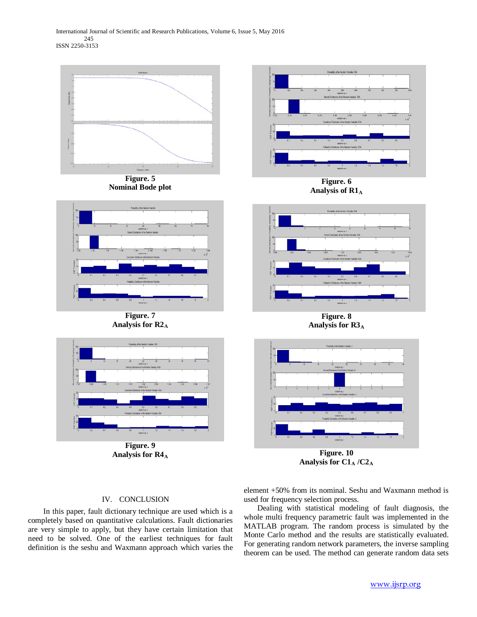International Journal of Scientific and Research Publications, Volume 6, Issue 5, May 2016 245 ISSN 2250-3153



Analysis for  $R4_A$ 

**Figure. 10** Analysis for C1<sub>A</sub> /C2<sub>A</sub>

## IV. CONCLUSION

 In this paper, fault dictionary technique are used which is a completely based on quantitative calculations. Fault dictionaries are very simple to apply, but they have certain limitation that need to be solved. One of the earliest techniques for fault definition is the seshu and Waxmann approach which varies the element +50% from its nominal. Seshu and Waxmann method is used for frequency selection process.

 Dealing with statistical modeling of fault diagnosis, the whole multi frequency parametric fault was implemented in the MATLAB program. The random process is simulated by the Monte Carlo method and the results are statistically evaluated. For generating random network parameters, the inverse sampling theorem can be used. The method can generate random data sets